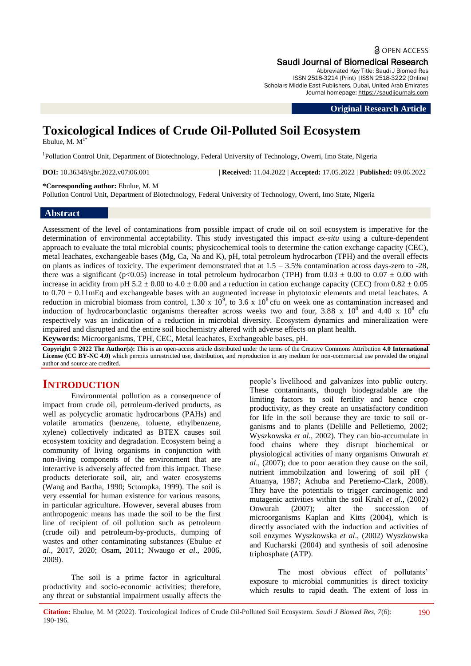## **a** OPEN ACCESS Saudi Journal of Biomedical Research

Abbreviated Key Title: Saudi J Biomed Res ISSN 2518-3214 (Print) |ISSN 2518-3222 (Online) Scholars Middle East Publishers, Dubai, United Arab Emirates Journal homepage: [https://saudijournals.com](https://saudijournals.com/sjbr)

#### **Original Research Article**

# **Toxicological Indices of Crude Oil-Polluted Soil Ecosystem**

Ebulue, M.  $M<sup>1</sup>$ 

<sup>1</sup>Pollution Control Unit, Department of Biotechnology, Federal University of Technology, Owerri, Imo State, Nigeria

**DOI:** 10.36348/sjbr.2022.v07i06.001 | **Received:** 11.04.2022 | **Accepted:** 17.05.2022 | **Published:** 09.06.2022

**\*Corresponding author:** Ebulue, M. M

Pollution Control Unit, Department of Biotechnology, Federal University of Technology, Owerri, Imo State, Nigeria

## **Abstract**

Assessment of the level of contaminations from possible impact of crude oil on soil ecosystem is imperative for the determination of environmental acceptability. This study investigated this impact *ex-situ* using a culture-dependent approach to evaluate the total microbial counts; physicochemical tools to determine the cation exchange capacity (CEC), metal leachates, exchangeable bases (Mg, Ca, Na and K), pH, total petroleum hydrocarbon (TPH) and the overall effects on plants as indices of toxicity. The experiment demonstrated that at  $1.5 - 3.5\%$  contamination across days-zero to -28, there was a significant (p<0.05) increase in total petroleum hydrocarbon (TPH) from  $0.03 \pm 0.00$  to  $0.07 \pm 0.00$  with increase in acidity from pH 5.2  $\pm$  0.00 to 4.0  $\pm$  0.00 and a reduction in cation exchange capacity (CEC) from 0.82  $\pm$  0.05 to  $0.70 \pm 0.11$ mEq and exchangeable bases with an augmented increase in phytotoxic elements and metal leachates. A reduction in microbial biomass from control, 1.30 x  $10^9$ , to 3.6 x  $10^8$  cfu on week one as contamination increased and induction of hydrocarbonclastic organisms thereafter across weeks two and four, 3.88 x  $10^8$  and 4.40 x  $10^8$  cfu respectively was an indication of a reduction in microbial diversity. Ecosystem dynamics and mineralization were impaired and disrupted and the entire soil biochemistry altered with adverse effects on plant health. **Keywords:** Microorganisms, TPH, CEC, Metal leachates, Exchangeable bases, pH.

**Copyright © 2022 The Author(s):** This is an open-access article distributed under the terms of the Creative Commons Attribution **4.0 International License (CC BY-NC 4.0)** which permits unrestricted use, distribution, and reproduction in any medium for non-commercial use provided the original author and source are credited.

## **INTRODUCTION**

Environmental pollution as a consequence of impact from crude oil, petroleum-derived products, as well as polycyclic aromatic hydrocarbons (PAHs) and volatile aromatics (benzene, toluene, ethylbenzene, xylene) collectively indicated as BTEX causes soil ecosystem toxicity and degradation. Ecosystem being a community of living organisms in conjunction with non-living components of the environment that are interactive is adversely affected from this impact. These products deteriorate soil, air, and water ecosystems (Wang and Bartha, 1990; Sctompka, 1999). The soil is very essential for human existence for various reasons, in particular agriculture. However, several abuses from anthropogenic means has made the soil to be the first line of recipient of oil pollution such as petroleum (crude oil) and petroleum-by-products, dumping of wastes and other contaminating substances (Ebulue *et al*., 2017, 2020; Osam, 2011; Nwaugo *et al*., 2006, 2009).

The soil is a prime factor in agricultural productivity and socio-economic activities; therefore, any threat or substantial impairment usually affects the

people's livelihood and galvanizes into public outcry. These contaminants, though biodegradable are the limiting factors to soil fertility and hence crop productivity, as they create an unsatisfactory condition for life in the soil because they are toxic to soil organisms and to plants (Delille and Pelletiemo, 2002; Wyszkowska *et al*., 2002). They can bio-accumulate in food chains where they disrupt biochemical or physiological activities of many organisms Onwurah *et al*., (2007); due to poor aeration they cause on the soil, nutrient immobilzation and lowering of soil pH ( Atuanya, 1987; Achuba and Peretiemo-Clark, 2008). They have the potentials to trigger carcinogenic and mutagenic activities within the soil Krahl *et al*., (2002) Onwurah (2007); alter the succession of microorganisms Kaplan and Kitts (2004), which is directly associated with the induction and activities of soil enzymes Wyszkowska *et al*., (2002) Wyszkowska and Kucharski (2004) and synthesis of soil adenosine triphosphate (ATP).

The most obvious effect of pollutants' exposure to microbial communities is direct toxicity which results to rapid death. The extent of loss in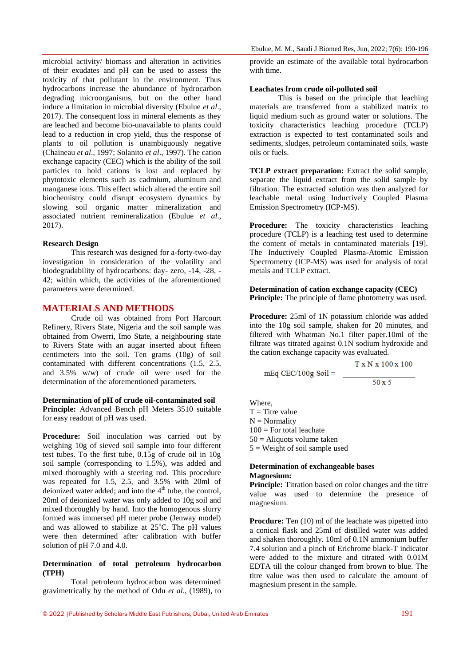microbial activity/ biomass and alteration in activities of their exudates and pH can be used to assess the toxicity of that pollutant in the environment. Thus hydrocarbons increase the abundance of hydrocarbon degrading microorganisms, but on the other hand induce a limitation in microbial diversity (Ebulue *et al*., 2017). The consequent loss in mineral elements as they are leached and become bio-unavailable to plants could lead to a reduction in crop yield, thus the response of plants to oil pollution is unambiguously negative (Chaineau *et al*., 1997; Solanito *et al*., 1997). The cation exchange capacity (CEC) which is the ability of the soil particles to hold cations is lost and replaced by phytotoxic elements such as cadmium, aluminum and manganese ions. This effect which altered the entire soil biochemistry could disrupt ecosystem dynamics by slowing soil organic matter mineralization and associated nutrient remineralization (Ebulue *et al*., 2017).

#### **Research Design**

This research was designed for a-forty-two-day investigation in consideration of the volatility and biodegradability of hydrocarbons: day- zero, -14, -28, - 42; within which, the activities of the aforementioned parameters were determined.

## **MATERIALS AND METHODS**

Crude oil was obtained from Port Harcourt Refinery, Rivers State, Nigeria and the soil sample was obtained from Owerri, Imo State, a neighbouring state to Rivers State with an augar inserted about fifteen centimeters into the soil. Ten grams (10g) of soil contaminated with different concentrations (1.5, 2.5, and 3.5% w/w) of crude oil were used for the determination of the aforementioned parameters.

#### **Determination of pH of crude oil-contaminated soil**

**Principle:** Advanced Bench pH Meters 3510 suitable for easy readout of pH was used.

**Procedure:** Soil inoculation was carried out by weighing 10g of sieved soil sample into four different test tubes. To the first tube, 0.15g of crude oil in 10g soil sample (corresponding to 1.5%), was added and mixed thoroughly with a steering rod. This procedure was repeated for 1.5, 2.5, and 3.5% with 20ml of deionized water added; and into the  $4<sup>th</sup>$  tube, the control, 20ml of deionized water was only added to 10g soil and mixed thoroughly by hand. Into the homogenous slurry formed was immersed pH meter probe (Jenway model) and was allowed to stabilize at  $25^{\circ}$ C. The pH values were then determined after calibration with buffer solution of pH 7.0 and 4.0.

#### **Determination of total petroleum hydrocarbon (TPH)**

Total petroleum hydrocarbon was determined gravimetrically by the method of Odu *et al*., (1989), to provide an estimate of the available total hydrocarbon with time.

### **Leachates from crude oil-polluted soil**

This is based on the principle that leaching materials are transferred from a stabilized matrix to liquid medium such as ground water or solutions. The toxicity characteristics leaching procedure (TCLP) extraction is expected to test contaminated soils and sediments, sludges, petroleum contaminated soils, waste oils or fuels.

**TCLP extract preparation:** Extract the solid sample, separate the liquid extract from the solid sample by filtration. The extracted solution was then analyzed for leachable metal using Inductively Coupled Plasma Emission Spectrometry (ICP-MS).

**Procedure:** The toxicity characteristics leaching procedure (TCLP) is a leaching test used to determine the content of metals in contaminated materials [19]. The Inductively Coupled Plasma-Atomic Emission Spectrometry (ICP-MS) was used for analysis of total metals and TCLP extract.

#### **Determination of cation exchange capacity (CEC) Principle:** The principle of flame photometry was used.

**Procedure:** 25ml of 1N potassium chloride was added into the 10g soil sample, shaken for 20 minutes, and filtered with Whatman No.1 filter paper.10ml of the filtrate was titrated against 0.1N sodium hydroxide and the cation exchange capacity was evaluated.

 $mEq$  CEC/100g Soil =

T x N x 100 x 100  $50x5$ 

Where,  $T =$ Titre value  $N =$  Normality  $100$  = For total leachate  $50$  = Aliquots volume taken  $5 =$  Weight of soil sample used

## **Determination of exchangeable bases Magnesium:**

**Principle:** Titration based on color changes and the titre value was used to determine the presence of magnesium.

**Procdure:** Ten (10) ml of the leachate was pipetted into a conical flask and 25ml of distilled water was added and shaken thoroughly. 10ml of 0.1N ammonium buffer 7.4 solution and a pinch of Erichrome black-T indicator were added to the mixture and titrated with 0.01M EDTA till the colour changed from brown to blue. The titre value was then used to calculate the amount of magnesium present in the sample.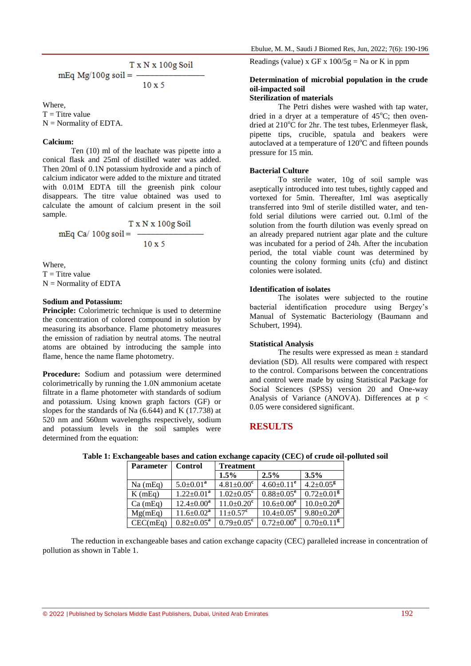$$
\text{mEq Mg/100g soil} = \frac{\text{T x N x 100g Soil}}{10 \text{ x 5}}
$$

Where,

 $T =$ Titre value  $N =$  Normality of EDTA.

#### **Calcium:**

Ten (10) ml of the leachate was pipette into a conical flask and 25ml of distilled water was added. Then 20ml of 0.1N potassium hydroxide and a pinch of calcium indicator were added to the mixture and titrated with 0.01M EDTA till the greenish pink colour disappears. The titre value obtained was used to calculate the amount of calcium present in the soil sample.

$$
mEq Ca/100g soil = \frac{T x N x 100g Soil}{10 x 5}
$$

Where,  $T =$ Titre value  $N =$  Normality of EDTA

#### **Sodium and Potassium:**

**Principle:** Colorimetric technique is used to determine the concentration of colored compound in solution by measuring its absorbance. Flame photometry measures the emission of radiation by neutral atoms. The neutral atoms are obtained by introducing the sample into flame, hence the name flame photometry.

**Procedure:** Sodium and potassium were determined colorimetrically by running the 1.0N ammonium acetate filtrate in a flame photometer with standards of sodium and potassium. Using known graph factors (GF) or slopes for the standards of Na (6.644) and K (17.738) at 520 nm and 560nm wavelengths respectively, sodium and potassium levels in the soil samples were determined from the equation:

Readings (value) x GF x  $100/5g = Na$  or K in ppm

## **Determination of microbial population in the crude oil-impacted soil**

## **Sterilization of materials**

The Petri dishes were washed with tap water, dried in a dryer at a temperature of  $45^{\circ}$ C; then ovendried at  $210^{\circ}$ C for 2hr. The test tubes, Erlenmeyer flask, pipette tips, crucible, spatula and beakers were autoclaved at a temperature of  $120^{\circ}$ C and fifteen pounds pressure for 15 min.

#### **Bacterial Culture**

To sterile water, 10g of soil sample was aseptically introduced into test tubes, tightly capped and vortexed for 5min. Thereafter, 1ml was aseptically transferred into 9ml of sterile distilled water, and tenfold serial dilutions were carried out. 0.1ml of the solution from the fourth dilution was evenly spread on an already prepared nutrient agar plate and the culture was incubated for a period of 24h. After the incubation period, the total viable count was determined by counting the colony forming units (cfu) and distinct colonies were isolated.

#### **Identification of isolates**

The isolates were subjected to the routine bacterial identification procedure using Bergey's Manual of Systematic Bacteriology (Baumann and Schubert, 1994).

#### **Statistical Analysis**

The results were expressed as mean ± standard deviation (SD). All results were compared with respect to the control. Comparisons between the concentrations and control were made by using Statistical Package for Social Sciences (SPSS) version 20 and One-way Analysis of Variance (ANOVA). Differences at p < 0.05 were considered significant.

## **RESULTS**

| Parameter  | <b>Control</b>          | <b>Treatment</b>             |                              |                              |
|------------|-------------------------|------------------------------|------------------------------|------------------------------|
|            |                         | 1.5%                         | 2.5%                         | 3.5%                         |
| $Na$ (mEq) | $5.0 \pm 0.01^a$        | $4.81 \pm 0.00^c$            | $4.60 \pm 0.11$ <sup>e</sup> | $4.2 \pm 0.05$ <sup>g</sup>  |
| K(mEq)     | $1.22 \pm 0.01^a$       | $1.02 \pm 0.05^{\circ}$      | $0.88 \pm 0.05^e$            | $0.72 \pm 0.01$ <sup>g</sup> |
| Ca(mEq)    | $12.4 \pm 0.00^a$       | $11.0 \pm 0.20$ <sup>c</sup> | $10.6 \pm 0.00^e$            | $10.0 \pm 0.20$ <sup>g</sup> |
| Mg(mEq)    | $11.6 \pm 0.02^a$       | $11 \pm 0.57$ <sup>c</sup>   | $10.4 \pm 0.05^{\circ}$      | $9.80 \pm 0.20^8$            |
| CEC(mEq)   | $0.82 \pm 0.05^{\rm a}$ | $0.79 \pm 0.05^c$            | $0.72 \pm 0.00^e$            | $0.70 \pm 0.11$ <sup>g</sup> |

## **Table 1: Exchangeable bases and cation exchange capacity (CEC) of crude oil-polluted soil**

The reduction in exchangeable bases and cation exchange capacity (CEC) paralleled increase in concentration of pollution as shown in Table 1.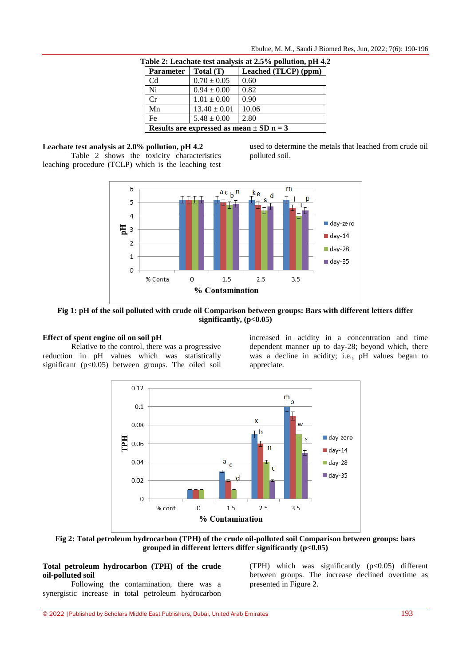|--|

| able 2: Leachate test analysis at 2.5% pollution, pH 4. |                  |                      |  |
|---------------------------------------------------------|------------------|----------------------|--|
| <b>Parameter</b>                                        | Total(T)         | Leached (TLCP) (ppm) |  |
| Cd                                                      | $0.70 \pm 0.05$  | 0.60                 |  |
| Ni                                                      | $0.94 \pm 0.00$  | 0.82                 |  |
| Cr                                                      | $1.01 \pm 0.00$  | 0.90                 |  |
| Mn                                                      | $13.40 \pm 0.01$ | 10.06                |  |
| Fe                                                      | $5.48 \pm 0.00$  | 2.80                 |  |
| Results are expressed as mean $\pm$ SD n = 3            |                  |                      |  |

**Table 2: Leachate test analysis at 2.5% pollution, pH 4.2**

**Leachate test analysis at 2.0% pollution, pH 4.2**

Table 2 shows the toxicity characteristics leaching procedure (TCLP) which is the leaching test used to determine the metals that leached from crude oil polluted soil.



**Fig 1: pH of the soil polluted with crude oil Comparison between groups: Bars with different letters differ significantly, (p<0.05)**

## **Effect of spent engine oil on soil pH**

Relative to the control, there was a progressive reduction in pH values which was statistically significant ( $p<0.05$ ) between groups. The oiled soil

increased in acidity in a concentration and time dependent manner up to day-28; beyond which, there was a decline in acidity; i.e., pH values began to appreciate.



**Fig 2: Total petroleum hydrocarbon (TPH) of the crude oil-polluted soil Comparison between groups: bars grouped in different letters differ significantly (p<0.05)**

#### **Total petroleum hydrocarbon (TPH) of the crude oil-polluted soil**

Following the contamination, there was a synergistic increase in total petroleum hydrocarbon (TPH) which was significantly (p<0.05) different between groups. The increase declined overtime as presented in Figure 2.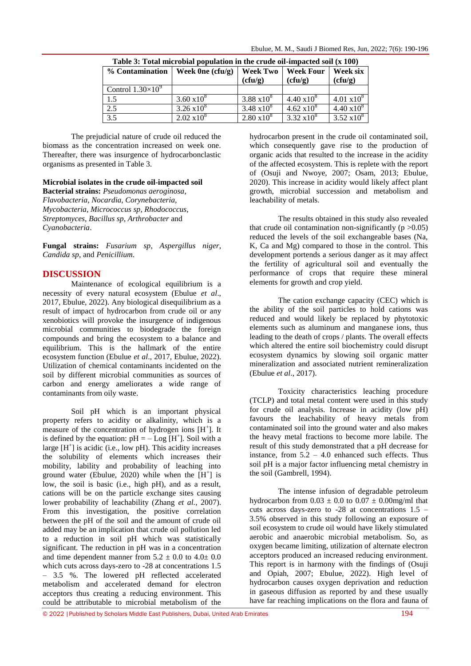| Table 5: Total linet oblar population in the crude on-hipacted soil (A Too) |                     |                            |                             |                               |
|-----------------------------------------------------------------------------|---------------------|----------------------------|-----------------------------|-------------------------------|
| % Contamination                                                             | Week $0n$ e (cfu/g) | <b>Week Two</b><br>(cfu/g) | <b>Week Four</b><br>(cfu/g) | Week six<br>(cfu/g)           |
| Control $1.30\times10^9$                                                    |                     |                            |                             |                               |
| 1.5                                                                         | $3.60 \times 10^8$  | $3.88 \times 10^8$         | $4.40 \times 10^{8}$        | $4.01 \times 10^8$            |
| 2.5                                                                         | $3.26 \times 10^8$  | 3.48 $x10^8$               | $4.62 \times 10^8$          | $4.\overline{40 \times 10^8}$ |
| 3.5                                                                         | $2.02 \times 10^8$  | $2.80 \times 10^8$         | $3.32 \times 10^8$          | $3.52 \overline{10^8}$        |

| Table 3: Total microbial population in the crude oil-impacted soil (x 100) |  |  |  |  |  |
|----------------------------------------------------------------------------|--|--|--|--|--|
|----------------------------------------------------------------------------|--|--|--|--|--|

The prejudicial nature of crude oil reduced the biomass as the concentration increased on week one. Thereafter, there was insurgence of hydrocarbonclastic organisms as presented in Table 3.

### **Microbial isolates in the crude oil**-**impacted soil**

**Bacterial strains:** *Pseudomonas aeroginosa*, *Flavobacteria*, *Nocardia*, *Corynebacteria, Mycobacteria*, *Micrococcus sp*, *Rhodococcus*, *Streptomyces*, *Bacillus sp*, *Arthrobacter* and *Cyanobacteria*.

**Fungal strains:** *Fusarium sp*, *Aspergillus niger*, *Candida sp*, and *Penicillium.*

## **DISCUSSION**

Maintenance of ecological equilibrium is a necessity of every natural ecosystem (Ebulue *et al*., 2017, Ebulue, 2022). Any biological disequilibrium as a result of impact of hydrocarbon from crude oil or any xenobiotics will provoke the insurgence of indigenous microbial communities to biodegrade the foreign compounds and bring the ecosystem to a balance and equilibrium. This is the hallmark of the entire ecosystem function (Ebulue *et al*., 2017, Ebulue, 2022). Utilization of chemical contaminants incidented on the soil by different microbial communities as sources of carbon and energy ameliorates a wide range of contaminants from oily waste.

Soil pH which is an important physical property refers to acidity or alkalinity, which is a measure of the concentration of hydrogen ions  $[H^+]$ . It is defined by the equation:  $pH = -Log[H^+]$ . Soil with a large  $[H^+]$  is acidic (i.e., low pH). This acidity increases the solubility of elements which increases their mobility, lability and probability of leaching into ground water (Ebulue, 2020) while when the  $[H^+]$  is low, the soil is basic (i.e., high pH), and as a result, cations will be on the particle exchange sites causing lower probability of leachability (Zhang *et al.*, 2007). From this investigation, the positive correlation between the pH of the soil and the amount of crude oil added may be an implication that crude oil pollution led to a reduction in soil pH which was statistically significant. The reduction in pH was in a concentration and time dependent manner from  $5.2 \pm 0.0$  to  $4.0 \pm 0.0$ which cuts across days-zero to -28 at concentrations 1.5 – 3.5 %. The lowered pH reflected accelerated metabolism and accelerated demand for electron acceptors thus creating a reducing environment. This could be attributable to microbial metabolism of the

hydrocarbon present in the crude oil contaminated soil, which consequently gave rise to the production of organic acids that resulted to the increase in the acidity of the affected ecosystem. This is replete with the report of (Osuji and Nwoye, 2007; Osam, 2013; Ebulue, 2020). This increase in acidity would likely affect plant growth, microbial succession and metabolism and leachability of metals.

The results obtained in this study also revealed that crude oil contamination non-significantly  $(p > 0.05)$ reduced the levels of the soil exchangeable bases (Na, K, Ca and Mg) compared to those in the control. This development portends a serious danger as it may affect the fertility of agricultural soil and eventually the performance of crops that require these mineral elements for growth and crop yield.

The cation exchange capacity (CEC) which is the ability of the soil particles to hold cations was reduced and would likely be replaced by phytotoxic elements such as aluminum and manganese ions, thus leading to the death of crops / plants. The overall effects which altered the entire soil biochemistry could disrupt ecosystem dynamics by slowing soil organic matter mineralization and associated nutrient remineralization (Ebulue *et al*., 2017).

Toxicity characteristics leaching procedure (TCLP) and total metal content were used in this study for crude oil analysis. Increase in acidity (low pH) favours the leachability of heavy metals from contaminated soil into the ground water and also makes the heavy metal fractions to become more labile. The result of this study demonstrated that a pH decrease for instance, from  $5.2 - 4.0$  enhanced such effects. Thus soil pH is a major factor influencing metal chemistry in the soil (Gambrell, 1994).

The intense infusion of degradable petroleum hydrocarbon from  $0.03 \pm 0.0$  to  $0.07 \pm 0.00$  mg/ml that cuts across days-zero to  $-28$  at concentrations  $1.5$  – 3.5% observed in this study following an exposure of soil ecosystem to crude oil would have likely stimulated aerobic and anaerobic microbial metabolism. So, as oxygen became limiting, utilization of alternate electron acceptors produced an increased reducing environment. This report is in harmony with the findings of (Osuji and Opiah, 2007; Ebulue, 2022). High level of hydrocarbon causes oxygen deprivation and reduction in gaseous diffusion as reported by and these usually have far reaching implications on the flora and fauna of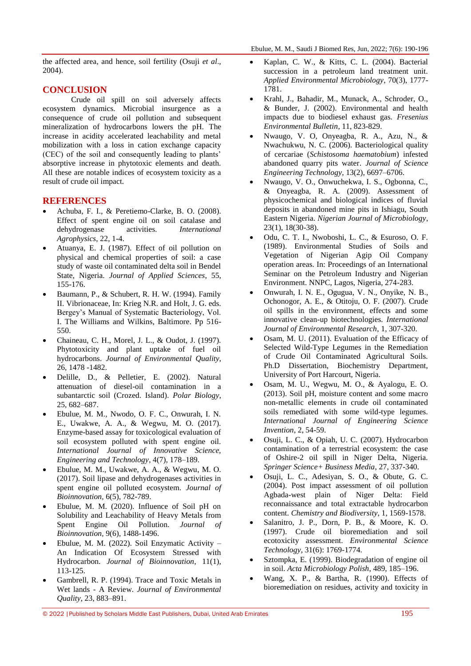the affected area, and hence, soil fertility (Osuji *et al*., 2004).

## **CONCLUSION**

Crude oil spill on soil adversely affects ecosystem dynamics. Microbial insurgence as a consequence of crude oil pollution and subsequent mineralization of hydrocarbons lowers the pH. The increase in acidity accelerated leachability and metal mobilization with a loss in cation exchange capacity (CEC) of the soil and consequently leading to plants' absorptive increase in phytotoxic elements and death. All these are notable indices of ecosystem toxicity as a result of crude oil impact.

## **REFERENCES**

- Achuba, F. I., & Peretiemo-Clarke, B. O. (2008). Effect of spent engine oil on soil catalase and dehydrogenase activities. *International Agrophysics*, 22, 1-4.
- Atuanya, E. J. (1987). Effect of oil pollution on physical and chemical properties of soil: a case study of waste oil contaminated delta soil in Bendel State, Nigeria. *Journal of Applied Sciences*, 55, 155-176.
- Baumann, P., & Schubert, R. H. W. (1994). Family II. Vibrionaceae, In: Krieg N.R. and Holt, J. G. eds. Bergey's Manual of Systematic Bacteriology, Vol. I. The Williams and Wilkins, Baltimore. Pp 516- 550.
- Chaineau, C. H., Morel, J. L., & Oudot, J. (1997). Phytotoxicity and plant uptake of fuel oil hydrocarbons. *Journal of Environmental Quality*, 26, 1478 -1482.
- Delille, D., & Pelletier, E. (2002). Natural attenuation of diesel-oil contamination in a subantarctic soil (Crozed. Island). *Polar Biology*, 25, 682–687.
- Ebulue, M. M., Nwodo, O. F. C., Onwurah, I. N. E., Uwakwe, A. A., & Wegwu, M. O. (2017). Enzyme-based assay for toxicological evaluation of soil ecosystem polluted with spent engine oil. *International Journal of Innovative Science, Engineering and Technology*, 4(7), 178–189.
- Ebulue, M. M., Uwakwe, A. A., & Wegwu, M. O. (2017). Soil lipase and dehydrogenases activities in spent engine oil polluted ecosystem. *Journal of Bioinnovation,* 6(5), 782-789.
- Ebulue, M. M. (2020). Influence of Soil pH on Solubility and Leachability of Heavy Metals from Spent Engine Oil Pollution. *Journal of Bioinnovation*, 9(6), 1488-1496.
- Ebulue, M. M. (2022). Soil Enzymatic Activity An Indication Of Ecosystem Stressed with Hydrocarbon. *Journal of Bioinnovation*, 11(1), 113-125.
- Gambrell, R. P. (1994). Trace and Toxic Metals in Wet lands - A Review. *Journal of Environmental Quality*, 23, 883–891.
- Kaplan, C. W., & Kitts, C. L. (2004). Bacterial succession in a petroleum land treatment unit. *Applied Environmental Microbiology*, 70(3), 1777- 1781.
- Krahl, J., Bahadir, M., Munack, A., Schroder, O., & Bunder, J. (2002). Environmental and health impacts due to biodiesel exhaust gas. *Fresenius Environmental Bulletin*, 11, 823-829.
- Nwaugo, V. O, Onyeagba, R. A., Azu, N., & Nwachukwu, N. C. (2006). Bacteriological quality of cercariae (*Schistosoma haematobium*) infested abandoned quarry pits water. *Journal of Science Engineering Technology*, 13(2), 6697–6706.
- Nwaugo, V. O., Onwuchekwa, I. S., Ogbonna, C., & Onyeagba, R. A. (2009). Assessment of physicochemical and biological indices of fluvial deposits in abandoned mine pits in Ishiagu, South Eastern Nigeria. *Nigerian Journal of Microbiology*, 23(1), 18(30-38).
- Odu, C. T. I., Nwoboshi, L. C., & Esuroso, O. F. (1989). Environmental Studies of Soils and Vegetation of Nigerian Agip Oil Company operation areas. In: Proceedings of an International Seminar on the Petroleum Industry and Nigerian Environment. NNPC, Lagos, Nigeria, 274-283.
- Onwurah, I. N. E., Ogugua, V. N., Onyike, N. B., Ochonogor, A. E., & Otitoju, O. F. (2007). Crude oil spills in the environment, effects and some innovative clean-up biotechnologies. *International Journal of Environmental Research*, 1, 307-320.
- Osam, M. U. (2011). Evaluation of the Efficacy of Selected Wild-Type Legumes in the Remediation of Crude Oil Contaminated Agricultural Soils. Ph.D Dissertation, Biochemistry Department, University of Port Harcourt, Nigeria.
- Osam, M. U., Wegwu, M. O., & Ayalogu, E. O. (2013). Soil pH, moisture content and some macro non-metallic elements in crude oil contaminated soils remediated with some wild-type legumes. *International Journal of Engineering Science Invention*, 2, 54-59.
- Osuji, L. C., & Opiah, U. C. (2007). Hydrocarbon contamination of a terrestrial ecosystem: the case of Oshire-2 oil spill in Niger Delta, Nigeria. *Springer Science+ Business Media*, 27, 337-340.
- Osuji, L. C., Adesiyan, S. O., & Obute, G. C. (2004). Post impact assessment of oil pollution Agbada-west plain of Niger Delta: Field reconnaissance and total extractable hydrocarbon content. *Chemistry and Biodiversity*, 1, 1569-1578.
- Salanitro, J. P., Dorn, P. B., & Moore, K. O. (1997). Crude oil bioremediation and soil ecotoxicity assessment. *Environmental Science Technology*, 31(6): 1769-1774.
- Sztompka, E. (1999). Biodegradation of engine oil in soil. *Acta Microbiology Polish*, 489, 185–196.
- Wang, X. P., & Bartha, R. (1990). Effects of bioremediation on residues, activity and toxicity in